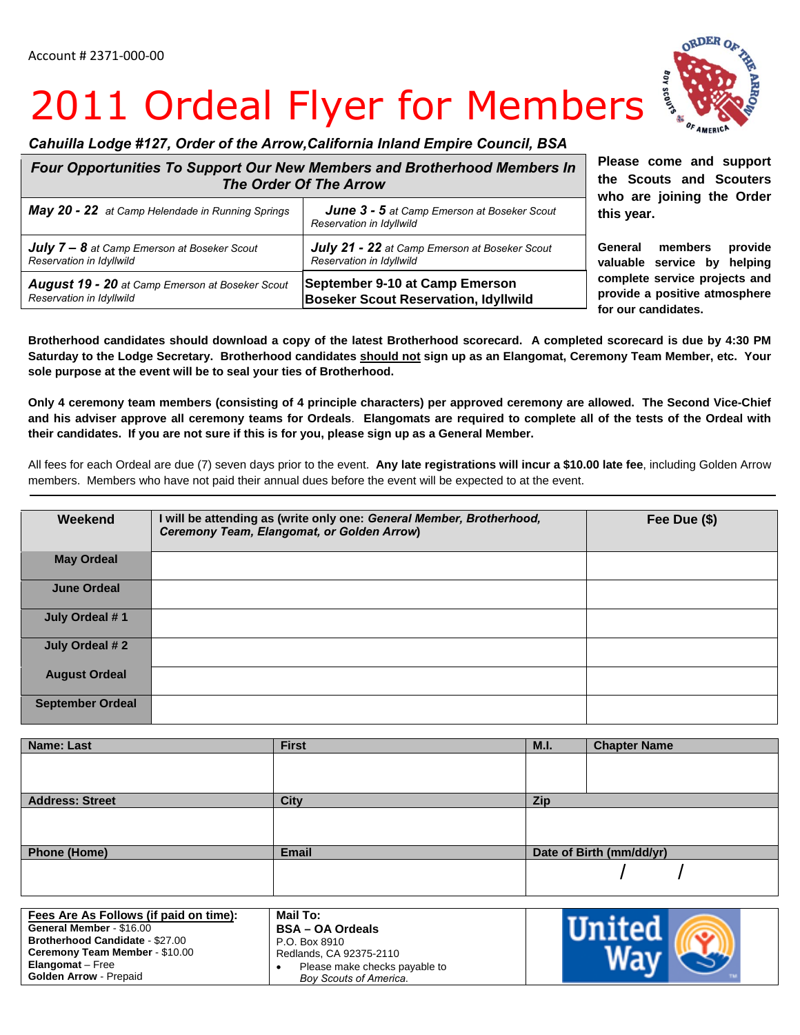## 2011 Ordeal Flyer for Members

## *Cahuilla Lodge #127, Order of the Arrow,California Inland Empire Council, BSA*

| Four Opportunities To Support Our New Members and Brotherhood Members In<br><b>The Order Of The Arrow</b> |                                                                                |  |
|-----------------------------------------------------------------------------------------------------------|--------------------------------------------------------------------------------|--|
| May 20 - 22 at Camp Helendade in Running Springs                                                          | <b>June 3 - 5</b> at Camp Emerson at Boseker Scout<br>Reservation in Idyllwild |  |
| <b>July 7 - 8</b> at Camp Emerson at Boseker Scout                                                        | July 21 - 22 at Camp Emerson at Boseker Scout                                  |  |
| Reservation in Idyllwild                                                                                  | Reservation in Idyllwild                                                       |  |
| August 19 - 20 at Camp Emerson at Boseker Scout                                                           | September 9-10 at Camp Emerson                                                 |  |
| Reservation in Idyllwild                                                                                  | <b>Boseker Scout Reservation, Idyllwild</b>                                    |  |

**Please come and support the Scouts and Scouters who are joining the Order this year.** 

**General members provide valuable service by helping complete service projects and provide a positive atmosphere for our candidates.** 

**Brotherhood candidates should download a copy of the latest Brotherhood scorecard. A completed scorecard is due by 4:30 PM Saturday to the Lodge Secretary. Brotherhood candidates should not sign up as an Elangomat, Ceremony Team Member, etc. Your sole purpose at the event will be to seal your ties of Brotherhood.** 

**Only 4 ceremony team members (consisting of 4 principle characters) per approved ceremony are allowed. The Second Vice-Chief and his adviser approve all ceremony teams for Ordeals**. **Elangomats are required to complete all of the tests of the Ordeal with their candidates. If you are not sure if this is for you, please sign up as a General Member.**

All fees for each Ordeal are due (7) seven days prior to the event. **Any late registrations will incur a \$10.00 late fee**, including Golden Arrow members. Members who have not paid their annual dues before the event will be expected to at the event.

| Weekend                 | I will be attending as (write only one: General Member, Brotherhood,<br>Ceremony Team, Elangomat, or Golden Arrow) | Fee Due (\$) |
|-------------------------|--------------------------------------------------------------------------------------------------------------------|--------------|
| <b>May Ordeal</b>       |                                                                                                                    |              |
| <b>June Ordeal</b>      |                                                                                                                    |              |
| July Ordeal #1          |                                                                                                                    |              |
| July Ordeal #2          |                                                                                                                    |              |
| <b>August Ordeal</b>    |                                                                                                                    |              |
| <b>September Ordeal</b> |                                                                                                                    |              |

| <b>Name: Last</b>      | <b>First</b> | M.I. | <b>Chapter Name</b>      |
|------------------------|--------------|------|--------------------------|
|                        |              |      |                          |
|                        |              |      |                          |
|                        |              |      |                          |
| <b>Address: Street</b> | <b>City</b>  | Zip  |                          |
|                        |              |      |                          |
|                        |              |      |                          |
|                        |              |      |                          |
| <b>Phone (Home)</b>    | <b>Email</b> |      | Date of Birth (mm/dd/yr) |
|                        |              |      |                          |
|                        |              |      |                          |
|                        |              |      |                          |

| Fees Are As Follows (if paid on time): | Mail To:                      |  |
|----------------------------------------|-------------------------------|--|
| General Member - \$16.00               | <b>BSA - OA Ordeals</b>       |  |
| <b>Brotherhood Candidate - \$27.00</b> | P.O. Box 8910                 |  |
| Ceremony Team Member - \$10.00         | Redlands, CA 92375-2110       |  |
| <b>Elangomat</b> – Free                | Please make checks payable to |  |
| <b>Golden Arrow - Prepaid</b>          | <b>Boy Scouts of America.</b> |  |